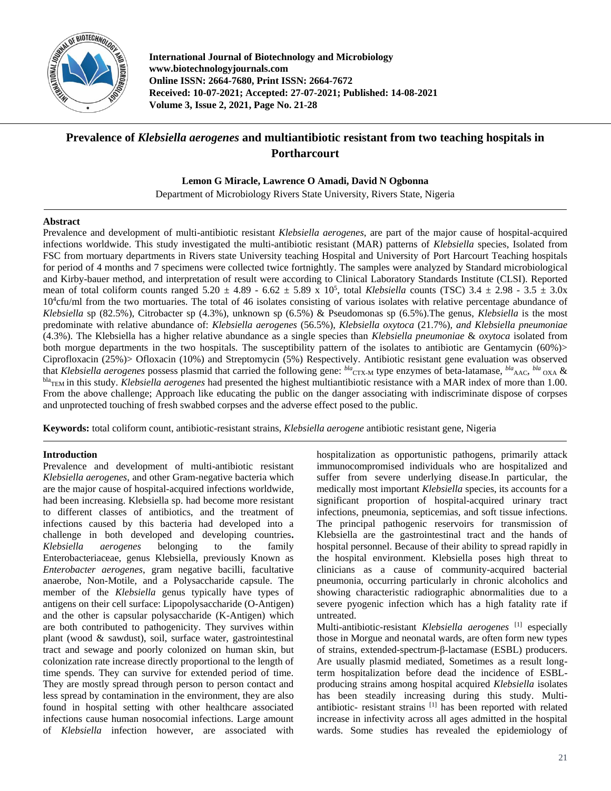

**International Journal of Biotechnology and Microbiology www.biotechnologyjournals.com Online ISSN: 2664-7680, Print ISSN: 2664-7672 Received: 10-07-2021; Accepted: 27-07-2021; Published: 14-08-2021 Volume 3, Issue 2, 2021, Page No. 21-28**

# **Prevalence of** *Klebsiella aerogenes* **and multiantibiotic resistant from two teaching hospitals in Portharcourt**

**Lemon G Miracle, Lawrence O Amadi, David N Ogbonna**

Department of Microbiology Rivers State University, Rivers State, Nigeria

# **Abstract**

Prevalence and development of multi-antibiotic resistant *Klebsiella aerogenes*, are part of the major cause of hospital-acquired infections worldwide. This study investigated the multi-antibiotic resistant (MAR) patterns of *Klebsiella* species, Isolated from FSC from mortuary departments in Rivers state University teaching Hospital and University of Port Harcourt Teaching hospitals for period of 4 months and 7 specimens were collected twice fortnightly. The samples were analyzed by Standard microbiological and Kirby-bauer method, and interpretation of result were according to Clinical Laboratory Standards Institute (CLSI). Reported mean of total coliform counts ranged  $5.20 \pm 4.89$  -  $6.62 \pm 5.89$  x  $10^5$ , total *Klebsiella* counts (TSC)  $3.4 \pm 2.98$  -  $3.5 \pm 3.0x$ 10<sup>4</sup>cfu/ml from the two mortuaries. The total of 46 isolates consisting of various isolates with relative percentage abundance of *Klebsiella* sp (82.5%), Citrobacter sp (4.3%), unknown sp (6.5%) & Pseudomonas sp (6.5%).The genus, *Klebsiella* is the most predominate with relative abundance of: *Klebsiella aerogenes* (56.5%), *Klebsiella oxytoca* (21.7%)*, and Klebsiella pneumoniae*  (4.3%). The Klebsiella has a higher relative abundance as a single species than *Klebsiella pneumoniae* & *oxytoca* isolated from both morgue departments in the two hospitals. The susceptibility pattern of the isolates to antibiotic are Gentamycin (60%)> Ciprofloxacin (25%)> Ofloxacin (10%) and Streptomycin (5%) Respectively. Antibiotic resistant gene evaluation was observed that *Klebsiella aerogenes* possess plasmid that carried the following gene: <sup>bla</sup>cTX-M type enzymes of beta-latamase, <sup>bla</sup>AAC, <sup>bla</sup>OXA & bla TEM in this study. *Klebsiella aerogenes* had presented the highest multiantibiotic resistance with a MAR index of more than 1.00. From the above challenge; Approach like educating the public on the danger associating with indiscriminate dispose of corpses and unprotected touching of fresh swabbed corpses and the adverse effect posed to the public.

**Keywords:** total coliform count, antibiotic-resistant strains, *Klebsiella aerogene* antibiotic resistant gene, Nigeria

# **Introduction**

Prevalence and development of multi-antibiotic resistant *Klebsiella aerogenes*, and other Gram-negative bacteria which are the major cause of hospital-acquired infections worldwide, had been increasing. Klebsiella sp. had become more resistant to different classes of antibiotics, and the treatment of infections caused by this bacteria had developed into a challenge in both developed and developing countries**.**  *Klebsiella aerogenes* belonging to the family Enterobacteriaceae, genus Klebsiella, previously Known as *Enterobacter aerogenes*, gram negative bacilli, facultative anaerobe, Non-Motile, and a Polysaccharide capsule. The member of the *Klebsiella* genus typically have types of antigens on their cell surface: Lipopolysaccharide (O-Antigen) and the other is capsular polysaccharide (K-Antigen) which are both contributed to pathogenicity. They survives within plant (wood & sawdust), soil, surface water, gastrointestinal tract and sewage and poorly colonized on human skin, but colonization rate increase directly proportional to the length of time spends. They can survive for extended period of time. They are mostly spread through person to person contact and less spread by contamination in the environment, they are also found in hospital setting with other healthcare associated infections cause human nosocomial infections. Large amount of *Klebsiella* infection however, are associated with

hospitalization as opportunistic pathogens, primarily attack immunocompromised individuals who are hospitalized and suffer from severe underlying disease.In particular, the medically most important *Klebsiella* species, its accounts for a significant proportion of hospital-acquired urinary tract infections, pneumonia, septicemias, and soft tissue infections. The principal pathogenic reservoirs for transmission of Klebsiella are the gastrointestinal tract and the hands of hospital personnel. Because of their ability to spread rapidly in the hospital environment. Klebsiella poses high threat to clinicians as a cause of community-acquired bacterial pneumonia, occurring particularly in chronic alcoholics and showing characteristic radiographic abnormalities due to a severe pyogenic infection which has a high fatality rate if untreated.

Multi-antibiotic-resistant *Klebsiella aerogenes* [1] especially those in Morgue and neonatal wards, are often form new types of strains, extended-spectrum-β-lactamase (ESBL) producers. Are usually plasmid mediated, Sometimes as a result longterm hospitalization before dead the incidence of ESBLproducing strains among hospital acquired *Klebsiella* isolates has been steadily increasing during this study. Multiantibiotic- resistant strains [1] has been reported with related increase in infectivity across all ages admitted in the hospital wards. Some studies has revealed the epidemiology of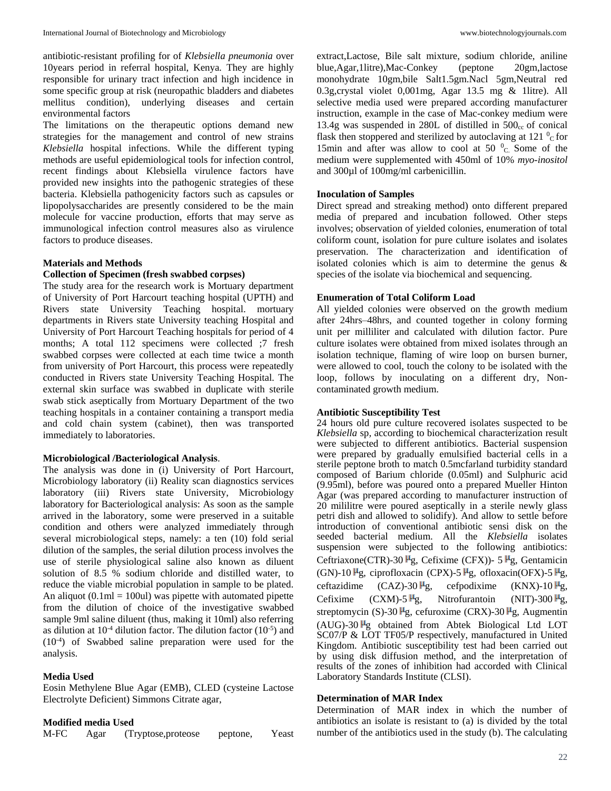antibiotic-resistant profiling for of *Klebsiella pneumonia* over 10years period in referral hospital, Kenya*.* They are highly responsible for urinary tract infection and high incidence in some specific group at risk (neuropathic bladders and diabetes mellitus condition), underlying diseases and certain environmental factors

The limitations on the therapeutic options demand new strategies for the management and control of new strains *Klebsiella* hospital infections. While the different typing methods are useful epidemiological tools for infection control, recent findings about Klebsiella virulence factors have provided new insights into the pathogenic strategies of these bacteria. Klebsiella pathogenicity factors such as capsules or lipopolysaccharides are presently considered to be the main molecule for vaccine production, efforts that may serve as immunological infection control measures also as virulence factors to produce diseases.

#### **Materials and Methods**

#### **Collection of Specimen (fresh swabbed corpses)**

The study area for the research work is Mortuary department of University of Port Harcourt teaching hospital (UPTH) and Rivers state University Teaching hospital. mortuary departments in Rivers state University teaching Hospital and University of Port Harcourt Teaching hospitals for period of 4 months; A total 112 specimens were collected ;7 fresh swabbed corpses were collected at each time twice a month from university of Port Harcourt, this process were repeatedly conducted in Rivers state University Teaching Hospital. The external skin surface was swabbed in duplicate with sterile swab stick aseptically from Mortuary Department of the two teaching hospitals in a container containing a transport media and cold chain system (cabinet), then was transported immediately to laboratories.

#### **Microbiological /Bacteriological Analysis**.

The analysis was done in (i) University of Port Harcourt, Microbiology laboratory (ii) Reality scan diagnostics services laboratory (iii) Rivers state University, Microbiology laboratory for Bacteriological analysis: As soon as the sample arrived in the laboratory, some were preserved in a suitable condition and others were analyzed immediately through several microbiological steps, namely: a ten (10) fold serial dilution of the samples, the serial dilution process involves the use of sterile physiological saline also known as diluent solution of 8.5 % sodium chloride and distilled water, to reduce the viable microbial population in sample to be plated. An aliquot  $(0.1ml = 100ul)$  was pipette with automated pipette from the dilution of choice of the investigative swabbed sample 9ml saline diluent (thus, making it 10ml) also referring as dilution at  $10^{-4}$  dilution factor. The dilution factor  $(10^{-5})$  and (10-4 ) of Swabbed saline preparation were used for the analysis.

#### **Media Used**

Eosin Methylene Blue Agar (EMB), CLED (cysteine Lactose Electrolyte Deficient) Simmons Citrate agar,

#### **Modified media Used**

| M-FC | Agar | (Tryptose, proteose) | peptone, | Yeast |
|------|------|----------------------|----------|-------|
|------|------|----------------------|----------|-------|

extract,Lactose, Bile salt mixture, sodium chloride, aniline blue,Agar,1litre),Mac-Conkey (peptone 20gm,lactose monohydrate 10gm,bile Salt1.5gm.Nacl 5gm,Neutral red 0.3g,crystal violet 0,001mg, Agar 13.5 mg & 1litre). All selective media used were prepared according manufacturer instruction, example in the case of Mac-conkey medium were 13.4g was suspended in 280L of distilled in  $500<sub>cc</sub>$  of conical flask then stoppered and sterilized by autoclaving at  $121<sup>0</sup>c$  for 15min and after was allow to cool at 50 $\degree$ <sub>C</sub>. Some of the medium were supplemented with 450ml of 10% *myo-inositol* and 300µl of 100mg/ml carbenicillin.

#### **Inoculation of Samples**

Direct spread and streaking method) onto different prepared media of prepared and incubation followed. Other steps involves; observation of yielded colonies, enumeration of total coliform count, isolation for pure culture isolates and isolates preservation. The characterization and identification of isolated colonies which is aim to determine the genus & species of the isolate via biochemical and sequencing.

#### **Enumeration of Total Coliform Load**

All yielded colonies were observed on the growth medium after 24hrs–48hrs, and counted together in colony forming unit per milliliter and calculated with dilution factor. Pure culture isolates were obtained from mixed isolates through an isolation technique, flaming of wire loop on bursen burner, were allowed to cool, touch the colony to be isolated with the loop, follows by inoculating on a different dry, Noncontaminated growth medium.

#### **Antibiotic Susceptibility Test**

24 hours old pure culture recovered isolates suspected to be *Klebsiella* sp*,* according to biochemical characterization result were subjected to different antibiotics. Bacterial suspension were prepared by gradually emulsified bacterial cells in a sterile peptone broth to match 0.5mcfarland turbidity standard composed of Barium chloride (0.05ml) and Sulphuric acid (9.95ml), before was poured onto a prepared Mueller Hinton Agar (was prepared according to manufacturer instruction of 20 mililitre were poured aseptically in a sterile newly glass petri dish and allowed to solidify). And allow to settle before introduction of conventional antibiotic sensi disk on the seeded bacterial medium. All the *Klebsiella* isolates suspension were subjected to the following antibiotics: Ceftriaxone(CTR)-30  $\mu$ g, Cefixime (CFX))- 5  $\mu$ g, Gentamicin (GN)-10  $\mu$ g, ciprofloxacin (CPX)-5  $\mu$ g, ofloxacin(OFX)-5  $\mu$ g, ceftazidime  $(CAZ)$ -30  $\mu$ g, cefpodixime  $(KNX)$ -10  $\mu$ g, Cefixime  $(CXM)$ -5  $\mu$ g, Nitrofurantoin (NIT)-300  $\mu$ g, streptomycin (S)-30  $\mu$ g, cefuroxime (CRX)-30  $\mu$ g, Augmentin  $(AUG)$ -30  $Hg$  obtained from Abtek Biological Ltd LOT SC07/P & LOT TF05/P respectively, manufactured in United Kingdom. Antibiotic susceptibility test had been carried out by using disk diffusion method, and the interpretation of results of the zones of inhibition had accorded with Clinical Laboratory Standards Institute (CLSI).

#### **Determination of MAR Index**

Determination of MAR index in which the number of antibiotics an isolate is resistant to (a) is divided by the total number of the antibiotics used in the study (b). The calculating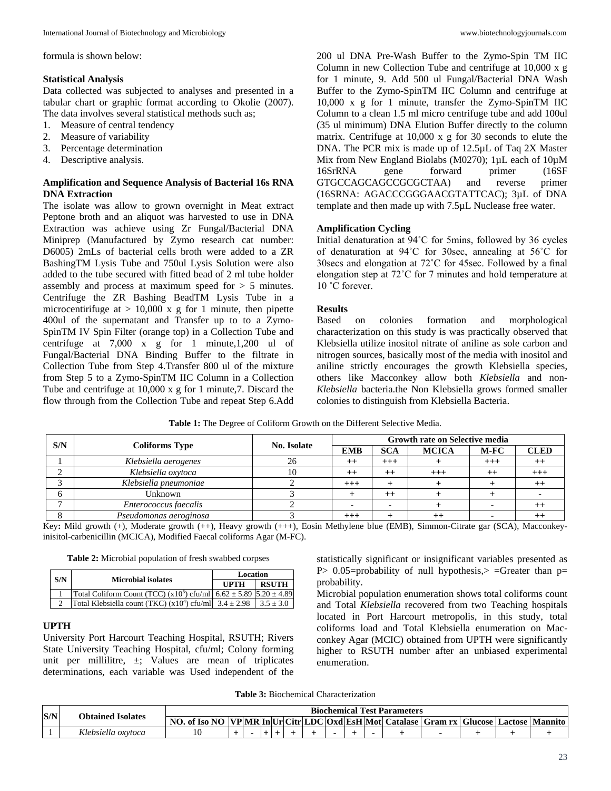formula is shown below:

#### **Statistical Analysis**

Data collected was subjected to analyses and presented in a tabular chart or graphic format according to Okolie (2007). The data involves several statistical methods such as;

- 1. Measure of central tendency
- 2. Measure of variability
- 3. Percentage determination
- 4. Descriptive analysis.

# **Amplification and Sequence Analysis of Bacterial 16s RNA DNA Extraction**

The isolate was allow to grown overnight in Meat extract Peptone broth and an aliquot was harvested to use in DNA Extraction was achieve using Zr Fungal/Bacterial DNA Miniprep (Manufactured by Zymo research cat number: D6005) 2mLs of bacterial cells broth were added to a ZR BashingTM Lysis Tube and 750ul Lysis Solution were also added to the tube secured with fitted bead of 2 ml tube holder assembly and process at maximum speed for > 5 minutes. Centrifuge the ZR Bashing BeadTM Lysis Tube in a microcentirifuge at  $> 10,000$  x g for 1 minute, then pipette 400ul of the supernatant and Transfer up to to a Zymo-SpinTM IV Spin Filter (orange top) in a Collection Tube and centrifuge at 7,000 x g for 1 minute,1,200 ul of Fungal/Bacterial DNA Binding Buffer to the filtrate in Collection Tube from Step 4.Transfer 800 ul of the mixture from Step 5 to a Zymo-SpinTM IIC Column in a Collection Tube and centrifuge at 10,000 x g for 1 minute,7. Discard the flow through from the Collection Tube and repeat Step 6.Add

200 ul DNA Pre-Wash Buffer to the Zymo-Spin TM IIC Column in new Collection Tube and centrifuge at 10,000 x g for 1 minute, 9. Add 500 ul Fungal/Bacterial DNA Wash Buffer to the Zymo-SpinTM IIC Column and centrifuge at 10,000 x g for 1 minute, transfer the Zymo-SpinTM IIC Column to a clean 1.5 ml micro centrifuge tube and add 100ul (35 ul minimum) DNA Elution Buffer directly to the column matrix. Centrifuge at 10,000 x g for 30 seconds to elute the DNA. The PCR mix is made up of 12.5µL of Taq 2X Master Mix from New England Biolabs (M0270); 1µL each of 10µM 16SrRNA gene forward primer (16SF GTGCCAGCAGCCGCGCTAA) and reverse primer (16SRNA: AGACCCGGGAACGTATTCAC); 3µL of DNA template and then made up with 7.5µL Nuclease free water.

# **Amplification Cycling**

Initial denaturation at 94˚C for 5mins, followed by 36 cycles of denaturation at 94˚C for 30sec, annealing at 56˚C for 30secs and elongation at 72˚C for 45sec. Followed by a final elongation step at 72˚C for 7 minutes and hold temperature at 10 °C forever.

# **Results**

Based on colonies formation and morphological characterization on this study is was practically observed that Klebsiella utilize inositol nitrate of aniline as sole carbon and nitrogen sources, basically most of the media with inositol and aniline strictly encourages the growth Klebsiella species, others like Macconkey allow both *Klebsiella* and non-*Klebsiella* bacteria.the Non Klebsiella grows formed smaller colonies to distinguish from Klebsiella Bacteria.

| S/N |                        | <b>No. Isolate</b> | Growth rate on Selective media |                          |              |        |             |  |  |
|-----|------------------------|--------------------|--------------------------------|--------------------------|--------------|--------|-------------|--|--|
|     | <b>Coliforms Type</b>  |                    | <b>EMB</b>                     | <b>SCA</b>               | <b>MCICA</b> | $M-FC$ | <b>CLED</b> |  |  |
|     | Klebsiella aerogenes   |                    | $^{++}$                        | $^{+++}$                 |              | $+++$  |             |  |  |
|     | Klebsiella oxytoca     | 10                 | $^{++}$                        | $^{++}$                  | $+++$        | $++$   | $+++$       |  |  |
|     | Klebsiella pneumoniae  |                    | $^{+++}$                       |                          |              |        |             |  |  |
|     | Unknown                |                    |                                | $++$                     |              |        |             |  |  |
|     | Enterococcus faecalis  |                    |                                | $\overline{\phantom{0}}$ |              |        |             |  |  |
|     | Pseudomonas aeroginosa |                    | $^{+++}$                       |                          | $^{++}$      |        |             |  |  |

**Table 1:** The Degree of Coliform Growth on the Different Selective Media.

Key**:** Mild growth (+), Moderate growth (++), Heavy growth (+++), Eosin Methylene blue (EMB), Simmon-Citrate gar (SCA), Macconkeyinisitol-carbenicillin (MCICA), Modified Faecal coliforms Agar (M-FC).

**Table 2:** Microbial population of fresh swabbed corpses

| S/N | <b>Microbial isolates</b>                                                             | Location    |               |
|-----|---------------------------------------------------------------------------------------|-------------|---------------|
|     |                                                                                       | <b>UPTH</b> | <b>RSUTH</b>  |
|     | Total Coliform Count (TCC) (x10 <sup>5</sup> ) cfu/ml $6.62 \pm 5.89$ 5.20 $\pm 4.89$ |             |               |
|     | Total Klebsiella count (TKC) $(x10^4)$ cfu/ml $3.4 \pm 2.98$                          |             | $3.5 \pm 3.0$ |

# **UPTH**

University Port Harcourt Teaching Hospital, RSUTH; Rivers State University Teaching Hospital, cfu/ml; Colony forming unit per millilitre, ±; Values are mean of triplicates determinations, each variable was Used independent of the

statistically significant or insignificant variables presented as P >  $0.05$ =probability of null hypothesis, > =Greater than p= probability.

Microbial population enumeration shows total coliforms count and Total *Klebsiella* recovered from two Teaching hospitals located in Port Harcourt metropolis, in this study, total coliforms load and Total Klebsiella enumeration on Macconkey Agar (MCIC) obtained from UPTH were significantly higher to RSUTH number after an unbiased experimental enumeration.

| <b>Table 3:</b> Biochemical Characterization |  |
|----------------------------------------------|--|
|----------------------------------------------|--|

| S/N | <b>Obtained Isolates</b> | <b>Biochemical Test Parameters</b>                                                               |  |  |  |  |  |  |  |  |  |  |
|-----|--------------------------|--------------------------------------------------------------------------------------------------|--|--|--|--|--|--|--|--|--|--|
|     |                          | ), of Iso NO  VP MR In Ur Citr LDC Oxd EsH Mot  Catalase   Gram rx   Glucose   Lactose   Mannito |  |  |  |  |  |  |  |  |  |  |
|     | Klebsiella oxytoca       |                                                                                                  |  |  |  |  |  |  |  |  |  |  |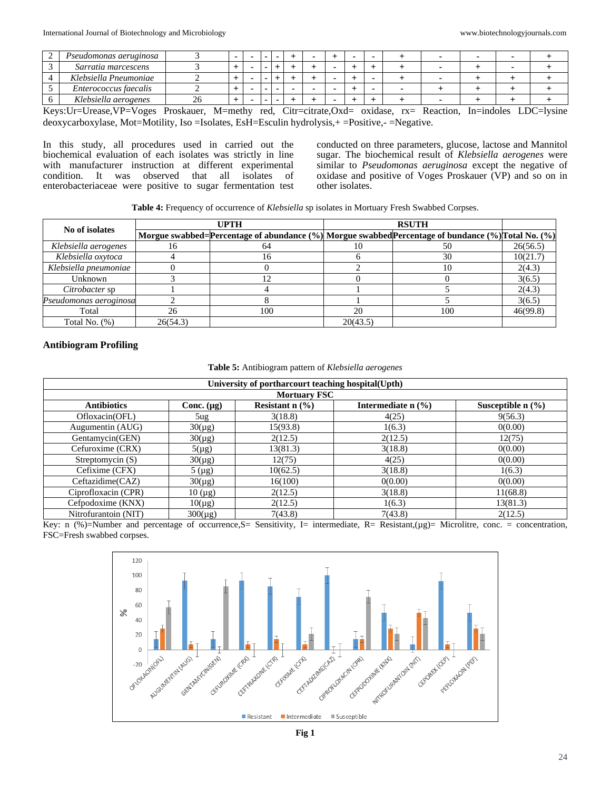| Pseudomonas aeruginosa |  |  |  |  |  |  |  |  |
|------------------------|--|--|--|--|--|--|--|--|
| Sarratia marcescens    |  |  |  |  |  |  |  |  |
| Klebsiella Pneumoniae  |  |  |  |  |  |  |  |  |
| Enterococcus faecalis  |  |  |  |  |  |  |  |  |
| Klebsiella aerogenes   |  |  |  |  |  |  |  |  |

Keys:Ur=Urease,VP=Voges Proskauer, M=methy red, Citr=citrate,Oxd= oxidase, rx= Reaction, In=indoles LDC=lysine deoxycarboxylase, Mot=Motility, Iso =Isolates, EsH=Esculin hydrolysis,+ =Positive,- =Negative.

In this study, all procedures used in carried out the biochemical evaluation of each isolates was strictly in line with manufacturer instruction at different experimental condition. It was observed that all isolates of enterobacteriaceae were positive to sugar fermentation test

conducted on three parameters, glucose, lactose and Mannitol sugar. The biochemical result of *Klebsiella aerogenes* were similar to *Pseudomonas aeruginosa* except the negative of oxidase and positive of Voges Proskauer (VP) and so on in other isolates.

**Table 4:** Frequency of occurrence of *Klebsiella* sp isolates in Mortuary Fresh Swabbed Corpses.

| No of isolates         |          | <b>UPTH</b>                                                                                         |          | <b>RSUTH</b> |          |  |  |  |
|------------------------|----------|-----------------------------------------------------------------------------------------------------|----------|--------------|----------|--|--|--|
|                        |          | Morgue swabbed=Percentage of abundance (%)  Morgue swabbed Percentage of bundance (%) Total No. (%) |          |              |          |  |  |  |
| Klebsiella aerogenes   |          | 64                                                                                                  |          | 50           | 26(56.5) |  |  |  |
| Klebsiella oxytoca     |          |                                                                                                     |          | 30           | 10(21.7) |  |  |  |
| Klebsiella pneumoniae  |          |                                                                                                     |          |              | 2(4.3)   |  |  |  |
| Unknown                |          |                                                                                                     |          |              | 3(6.5)   |  |  |  |
| Citrobacter sp         |          |                                                                                                     |          |              | 2(4.3)   |  |  |  |
| Pseudomonas aeroginosa |          |                                                                                                     |          |              | 3(6.5)   |  |  |  |
| Total                  | 26       | 100                                                                                                 | 20       | 100          | 46(99.8) |  |  |  |
| Total No. $(\%)$       | 26(54.3) |                                                                                                     | 20(43.5) |              |          |  |  |  |

#### **Antibiogram Profiling**

| University of portharcourt teaching hospital(Upth) |                 |                   |                      |                                            |  |  |  |  |  |  |
|----------------------------------------------------|-----------------|-------------------|----------------------|--------------------------------------------|--|--|--|--|--|--|
| <b>Mortuary FSC</b>                                |                 |                   |                      |                                            |  |  |  |  |  |  |
| <b>Antibiotics</b>                                 | Conc. $(\mu g)$ | Resistant $n$ (%) | Intermediate $n$ (%) | Susceptible $n$ $\left(\frac{9}{6}\right)$ |  |  |  |  |  |  |
| Ofloxacin(OFL)                                     | 5ug             | 3(18.8)           | 4(25)                | 9(56.3)                                    |  |  |  |  |  |  |
| Augumentin (AUG)                                   | $30(\mu g)$     | 15(93.8)          | 1(6.3)               | 0(0.00)                                    |  |  |  |  |  |  |
| Gentamycin(GEN)                                    | $30(\mu g)$     | 2(12.5)           | 2(12.5)              | 12(75)                                     |  |  |  |  |  |  |
| Cefuroxime (CRX)                                   | $5(\mu g)$      | 13(81.3)          | 3(18.8)              | 0(0.00)                                    |  |  |  |  |  |  |
| Streptomycin $(S)$                                 | $30(\mu g)$     | 12(75)            | 4(25)                | 0(0.00)                                    |  |  |  |  |  |  |
| Cefixime (CFX)                                     | $5(\mu g)$      | 10(62.5)          | 3(18.8)              | 1(6.3)                                     |  |  |  |  |  |  |
| Ceftazidime(CAZ)                                   | $30(\mu g)$     | 16(100)           | 0(0.00)              | 0(0.00)                                    |  |  |  |  |  |  |
| Ciprofloxacin (CPR)                                | $10 \, (\mu g)$ | 2(12.5)           | 3(18.8)              | 11(68.8)                                   |  |  |  |  |  |  |
| Cefpodoxime (KNX)                                  | $10(\mu g)$     | 2(12.5)           | 1(6.3)               | 13(81.3)                                   |  |  |  |  |  |  |
| Nitrofurantoin (NIT)                               | $300(\mu g)$    | 7(43.8)           | 7(43.8)              | 2(12.5)                                    |  |  |  |  |  |  |

**Table 5:** Antibiogram pattern of *Klebsiella aerogenes*

Key: n  $(\%)$ =Number and percentage of occurrence, S = Sensitivity, I = intermediate, R = Resistant, ( $\mu$ g) = Microlitre, conc. = concentration, FSC=Fresh swabbed corpses.



**Fig 1**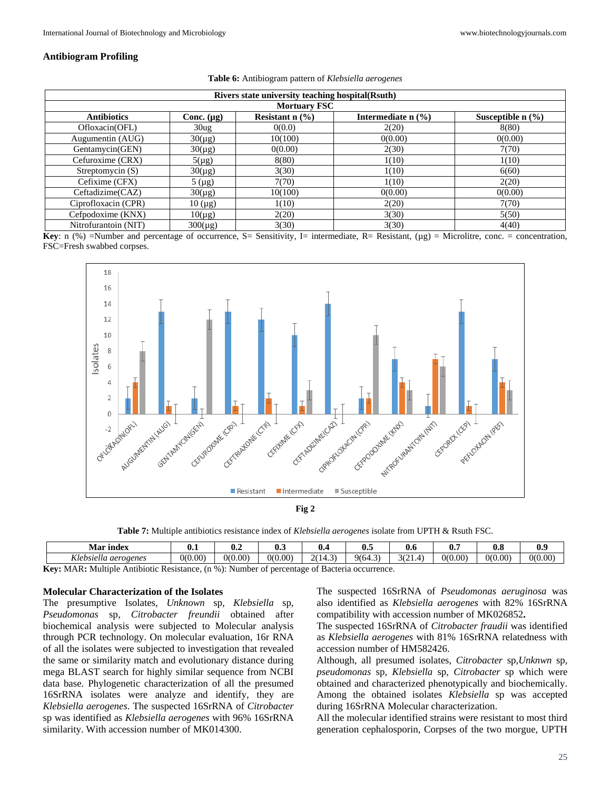#### **Antibiogram Profiling**

|                      | Rivers state university teaching hospital (Rsuth) |                                          |                                             |                                            |  |  |  |  |  |  |
|----------------------|---------------------------------------------------|------------------------------------------|---------------------------------------------|--------------------------------------------|--|--|--|--|--|--|
| <b>Mortuary FSC</b>  |                                                   |                                          |                                             |                                            |  |  |  |  |  |  |
| <b>Antibiotics</b>   | Conc. $(\mu g)$                                   | Resistant $n$ $\left(\frac{9}{6}\right)$ | Intermediate $n$ $\left(\frac{9}{6}\right)$ | Susceptible $n$ $\left(\frac{9}{6}\right)$ |  |  |  |  |  |  |
| Ofloxacin(OFL)       | 30 <sub>ug</sub>                                  | 0(0.0)                                   | 2(20)                                       | 8(80)                                      |  |  |  |  |  |  |
| Augumentin (AUG)     | $30(\mu g)$                                       | 10(100)                                  | 0(0.00)                                     | 0(0.00)                                    |  |  |  |  |  |  |
| Gentamycin(GEN)      | $30(\mu g)$                                       | 0(0.00)                                  | 2(30)                                       | 7(70)                                      |  |  |  |  |  |  |
| Cefuroxime (CRX)     | $5(\mu g)$                                        | 8(80)                                    | 1(10)                                       | 1(10)                                      |  |  |  |  |  |  |
| Streptomycin $(S)$   | $30(\mu g)$                                       | 3(30)                                    | 1(10)                                       | 6(60)                                      |  |  |  |  |  |  |
| Cefixime (CFX)       | $5(\mu g)$                                        | 7(70)                                    | 1(10)                                       | 2(20)                                      |  |  |  |  |  |  |
| Ceftadizime(CAZ)     | $30(\mu g)$                                       | 10(100)                                  | 0(0.00)                                     | 0(0.00)                                    |  |  |  |  |  |  |
| Ciprofloxacin (CPR)  | $10 \ (\mu g)$                                    | 1(10)                                    | 2(20)                                       | 7(70)                                      |  |  |  |  |  |  |
| Cefpodoxime (KNX)    | $10(\mu g)$                                       | 2(20)                                    | 3(30)                                       | 5(50)                                      |  |  |  |  |  |  |
| Nitrofurantoin (NIT) | $300(\mu g)$                                      | 3(30)                                    | 3(30)                                       | 4(40)                                      |  |  |  |  |  |  |

| Table 6: Antibiogram pattern of Klebsiella aerogenes |  |  |  |
|------------------------------------------------------|--|--|--|
|------------------------------------------------------|--|--|--|

**Key**: n (%) =Number and percentage of occurrence, S= Sensitivity, I= intermediate, R= Resistant, (µg) = Microlitre, conc. = concentration, FSC=Fresh swabbed corpses.



**Table 7:** Multiple antibiotics resistance index of *Klebsiella aerogenes* isolate from UPTH & Rsuth FSC.

| Mar<br><sup>'</sup> index | v.ı     | U.∠     | v.,     | $\mathbf{u}$                                       | v                 | v.u                    | 0.      | 0.ூ     | ◠<br>$\mathbf{U}$ . |
|---------------------------|---------|---------|---------|----------------------------------------------------|-------------------|------------------------|---------|---------|---------------------|
| Klebsiella<br>aerogenes : | 0(0.00) | 0(0.00) | 0(0.00) | $\sim$<br>$\bigcap$ $\bigcap$ $\bigcap$<br>. 4<br> | $\sim$<br>964<br> | $3(2^{\circ})$<br>.1.4 | 0(0.00) | 0(0.00) | 0(0.00)             |

**Key:** MAR**:** Multiple Antibiotic Resistance, (n %): Number of percentage of Bacteria occurrence.

#### **Molecular Characterization of the Isolates**

The presumptive Isolates, *Unknown* sp*, Klebsiella* sp*, Pseudomonas* sp*, Citrobacter freundii* obtained after biochemical analysis were subjected to Molecular analysis through PCR technology. On molecular evaluation, 16r RNA of all the isolates were subjected to investigation that revealed the same or similarity match and evolutionary distance during mega BLAST search for highly similar sequence from NCBI data base. Phylogenetic characterization of all the presumed 16SrRNA isolates were analyze and identify, they are *Klebsiella aerogenes*. The suspected 16SrRNA of *Citrobacter* sp was identified as *Klebsiella aerogenes* with 96% 16SrRNA similarity. With accession number of MK014300.

The suspected 16SrRNA of *Pseudomonas aeruginosa* was also identified as *Klebsiella aerogenes* with 82% 16SrRNA compatibility with accession number of MK026852**.**

The suspected 16SrRNA of *Citrobacter fraudii* was identified as *Klebsiella aerogenes* with 81% 16SrRNA relatedness with accession number of HM582426.

Although, all presumed isolates, *Citrobacter* sp,*Unknwn* sp*, pseudomonas* sp*, Klebsiella* sp*, Citrobacter* sp which were obtained and characterized phenotypically and biochemically. Among the obtained isolates *Klebsiella* sp was accepted during 16SrRNA Molecular characterization.

All the molecular identified strains were resistant to most third generation cephalosporin, Corpses of the two morgue, UPTH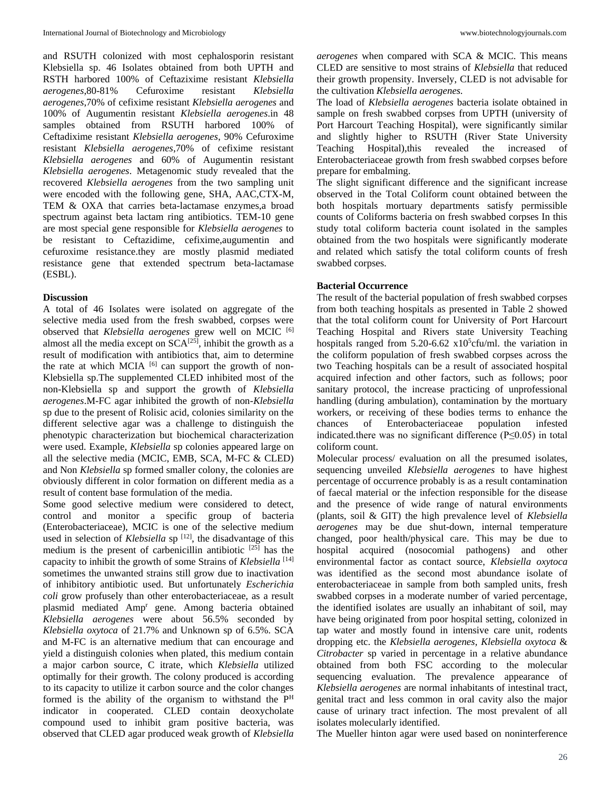and RSUTH colonized with most cephalosporin resistant Klebsiella sp. 46 Isolates obtained from both UPTH and RSTH harbored 100% of Ceftazixime resistant *Klebsiella aerogenes*,80-81% Cefuroxime resistant *Klebsiella aerogenes*,70% of cefixime resistant *Klebsiella aerogenes* and 100% of Augumentin resistant *Klebsiella aerogenes*.in 48 samples obtained from RSUTH harbored 100% of Ceftadixime resistant *Klebsiella aerogenes*, 90% Cefuroxime resistant *Klebsiella aerogenes*,70% of cefixime resistant *Klebsiella aerogenes* and 60% of Augumentin resistant *Klebsiella aerogenes*. Metagenomic study revealed that the recovered *Klebsiella aerogenes* from the two sampling unit were encoded with the following gene, SHA, AAC,CTX-M, TEM & OXA that carries beta-lactamase enzymes,a broad spectrum against beta lactam ring antibiotics. TEM-10 gene are most special gene responsible for *Klebsiella aerogenes* to be resistant to Ceftazidime, cefixime,augumentin and cefuroxime resistance.they are mostly plasmid mediated resistance gene that extended spectrum beta-lactamase (ESBL).

# **Discussion**

A total of 46 Isolates were isolated on aggregate of the selective media used from the fresh swabbed, corpses were observed that *Klebsiella aerogenes* grew well on MCIC [6] almost all the media except on  $SCA<sup>[25]</sup>$ , inhibit the growth as a result of modification with antibiotics that, aim to determine the rate at which MCIA  $[6]$  can support the growth of non-Klebsiella sp.The supplemented CLED inhibited most of the non-Klebsiella sp and support the growth of *Klebsiella aerogenes*.M-FC agar inhibited the growth of non-*Klebsiella* sp due to the present of Rolisic acid, colonies similarity on the different selective agar was a challenge to distinguish the phenotypic characterization but biochemical characterization were used. Example, *Klebsiella* sp colonies appeared large on all the selective media (MCIC, EMB, SCA, M-FC & CLED) and Non *Klebsiella* sp formed smaller colony, the colonies are obviously different in color formation on different media as a result of content base formulation of the media.

Some good selective medium were considered to detect, control and monitor a specific group of bacteria (Enterobacteriaceae), MCIC is one of the selective medium used in selection of *Klebsiella* sp<sup>[12]</sup>, the disadvantage of this medium is the present of carbenicillin antibiotic  $[25]$  has the capacity to inhibit the growth of some Strains of *Klebsiella* [14] sometimes the unwanted strains still grow due to inactivation of inhibitory antibiotic used. But unfortunately *Escherichia coli* grow profusely than other enterobacteriaceae, as a result plasmid mediated Amp<sup>r</sup> gene. Among bacteria obtained *Klebsiella aerogenes* were about 56.5% seconded by *Klebsiella oxytoca* of 21.7% and Unknown sp of 6.5%. SCA and M-FC is an alternative medium that can encourage and yield a distinguish colonies when plated, this medium contain a major carbon source, C itrate, which *Klebsiella* utilized optimally for their growth. The colony produced is according to its capacity to utilize it carbon source and the color changes formed is the ability of the organism to withstand the P<sup>H</sup> indicator in cooperated. CLED contain deoxycholate compound used to inhibit gram positive bacteria, was observed that CLED agar produced weak growth of *Klebsiella* 

*aerogenes* when compared with SCA & MCIC. This means CLED are sensitive to most strains of *Klebsiella* that reduced their growth propensity. Inversely, CLED is not advisable for the cultivation *Klebsiella aerogenes.*

The load of *Klebsiella aerogenes* bacteria isolate obtained in sample on fresh swabbed corpses from UPTH (university of Port Harcourt Teaching Hospital), were significantly similar and slightly higher to RSUTH (River State University Teaching Hospital),this revealed the increased of Enterobacteriaceae growth from fresh swabbed corpses before prepare for embalming.

The slight significant difference and the significant increase observed in the Total Coliform count obtained between the both hospitals mortuary departments satisfy permissible counts of Coliforms bacteria on fresh swabbed corpses In this study total coliform bacteria count isolated in the samples obtained from the two hospitals were significantly moderate and related which satisfy the total coliform counts of fresh swabbed corpses.

# **Bacterial Occurrence**

The result of the bacterial population of fresh swabbed corpses from both teaching hospitals as presented in Table 2 showed that the total coliform count for University of Port Harcourt Teaching Hospital and Rivers state University Teaching hospitals ranged from  $5.20 - 6.62 \times 10^5$ cfu/ml. the variation in the coliform population of fresh swabbed corpses across the two Teaching hospitals can be a result of associated hospital acquired infection and other factors, such as follows; poor sanitary protocol, the increase practicing of unprofessional handling (during ambulation), contamination by the mortuary workers, or receiving of these bodies terms to enhance the chances of Enterobacteriaceae population infested indicated.there was no significant difference (P≤0.05) in total coliform count.

Molecular process/ evaluation on all the presumed isolates, sequencing unveiled *Klebsiella aerogenes* to have highest percentage of occurrence probably is as a result contamination of faecal material or the infection responsible for the disease and the presence of wide range of natural environments (plants, soil & GIT) the high prevalence level of *Klebsiella aerogenes* may be due shut-down, internal temperature changed, poor health/physical care. This may be due to hospital acquired (nosocomial pathogens) and other environmental factor as contact source, *Klebsiella oxytoca* was identified as the second most abundance isolate of enterobacteriaceae in sample from both sampled units, fresh swabbed corpses in a moderate number of varied percentage, the identified isolates are usually an inhabitant of soil, may have being originated from poor hospital setting, colonized in tap water and mostly found in intensive care unit, rodents dropping etc. the *Klebsiella aerogenes, Klebsiella oxytoca* & *Citrobacter* sp varied in percentage in a relative abundance obtained from both FSC according to the molecular sequencing evaluation. The prevalence appearance of *Klebsiella aerogenes* are normal inhabitants of intestinal tract, genital tract and less common in oral cavity also the major cause of urinary tract infection. The most prevalent of all isolates molecularly identified.

The Mueller hinton agar were used based on noninterference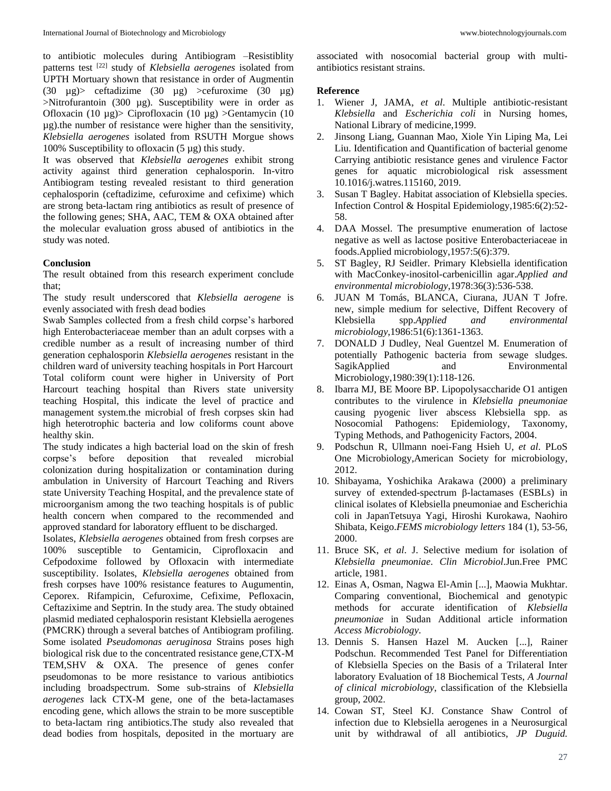to antibiotic molecules during Antibiogram –Resistiblity patterns test [22] study of *Klebsiella aerogenes* isolated from UPTH Mortuary shown that resistance in order of Augmentin (30 µg)> ceftadizime (30 µg) >cefuroxime (30 µg) >Nitrofurantoin (300 µg). Susceptibility were in order as Ofloxacin (10 µg)> Ciprofloxacin (10 µg) >Gentamycin (10 µg).the number of resistance were higher than the sensitivity, *Klebsiella aerogenes* isolated from RSUTH Morgue shows 100% Susceptibility to ofloxacin (5 µg) this study.

It was observed that *Klebsiella aerogenes* exhibit strong activity against third generation cephalosporin. In-vitro Antibiogram testing revealed resistant to third generation cephalosporin (ceftadizime, cefuroxime and cefixime) which are strong beta-lactam ring antibiotics as result of presence of the following genes; SHA, AAC, TEM & OXA obtained after the molecular evaluation gross abused of antibiotics in the study was noted.

#### **Conclusion**

The result obtained from this research experiment conclude that;

The study result underscored that *Klebsiella aerogene* is evenly associated with fresh dead bodies

Swab Samples collected from a fresh child corpse's harbored high Enterobacteriaceae member than an adult corpses with a credible number as a result of increasing number of third generation cephalosporin *Klebsiella aerogenes* resistant in the children ward of university teaching hospitals in Port Harcourt Total coliform count were higher in University of Port Harcourt teaching hospital than Rivers state university teaching Hospital, this indicate the level of practice and management system.the microbial of fresh corpses skin had high heterotrophic bacteria and low coliforms count above healthy skin.

The study indicates a high bacterial load on the skin of fresh corpse's before deposition that revealed microbial colonization during hospitalization or contamination during ambulation in University of Harcourt Teaching and Rivers state University Teaching Hospital, and the prevalence state of microorganism among the two teaching hospitals is of public health concern when compared to the recommended and approved standard for laboratory effluent to be discharged.

Isolates, *Klebsiella aerogenes* obtained from fresh corpses are 100% susceptible to Gentamicin, Ciprofloxacin and Cefpodoxime followed by Ofloxacin with intermediate susceptibility. Isolates, *Klebsiella aerogenes* obtained from fresh corpses have 100% resistance features to Augumentin, Ceporex. Rifampicin, Cefuroxime, Cefixime, Pefloxacin, Ceftazixime and Septrin. In the study area. The study obtained plasmid mediated cephalosporin resistant Klebsiella aerogenes (PMCRK) through a several batches of Antibiogram profiling. Some isolated *Pseudomonas aeruginosa* Strains poses high biological risk due to the concentrated resistance gene,CTX-M TEM,SHV & OXA. The presence of genes confer pseudomonas to be more resistance to various antibiotics including broadspectrum. Some sub-strains of *Klebsiella aerogenes* lack CTX-M gene, one of the beta-lactamases encoding gene, which allows the strain to be more susceptible to beta-lactam ring antibiotics.The study also revealed that dead bodies from hospitals, deposited in the mortuary are

associated with nosocomial bacterial group with multiantibiotics resistant strains.

# **Reference**

- 1. Wiener J, JAMA, *et al*. Multiple antibiotic-resistant *Klebsiella* and *Escherichia coli* in Nursing homes, National Library of medicine,1999.
- 2. Jinsong Liang, Guannan Mao, Xiole Yin Liping Ma, Lei Liu. Identification and Quantification of bacterial genome Carrying antibiotic resistance genes and virulence Factor genes for aquatic microbiological risk assessment 10.1016/j.watres.115160, 2019.
- 3. Susan T Bagley. Habitat association of Klebsiella species. Infection Control & Hospital Epidemiology,1985:6(2):52- 58.
- 4. DAA Mossel. The presumptive enumeration of lactose negative as well as lactose positive Enterobacteriaceae in foods.Applied microbiology,1957:5(6):379.
- 5. ST Bagley, RJ Seidler. Primary Klebsiella identification with MacConkey-inositol-carbenicillin agar.*Applied and environmental microbiology*,1978:36(3):536-538.
- 6. JUAN M Tomás, BLANCA, Ciurana, JUAN T Jofre. new, simple medium for selective, Diffent Recovery of Klebsiella spp.*Applied and environmental microbiology*,1986:51(6):1361-1363.
- 7. DONALD J Dudley, Neal Guentzel M. Enumeration of potentially Pathogenic bacteria from sewage sludges. SagikApplied and Environmental Microbiology,1980:39(1):118-126.
- 8. Ibarra MJ, BE Moore BP. Lipopolysaccharide O1 antigen contributes to the virulence in *Klebsiella pneumoniae* causing pyogenic liver abscess Klebsiella spp. as Nosocomial Pathogens: Epidemiology, Taxonomy, Typing Methods, and Pathogenicity Factors, 2004.
- 9. Podschun R, Ullmann noei-Fang Hsieh U, *et al*. PLoS One Microbiology,American Society for microbiology, 2012.
- 10. Shibayama, Yoshichika Arakawa (2000) a preliminary survey of extended-spectrum β-lactamases (ESBLs) in clinical isolates of Klebsiella pneumoniae and Escherichia coli in JapanTetsuya Yagi, Hiroshi Kurokawa, Naohiro Shibata, Keigo.*FEMS microbiology letters* 184 (1), 53-56, 2000.
- 11. Bruce SK, *et al*. J. Selective medium for isolation of *Klebsiella pneumoniae*. *Clin Microbiol*.Jun.Free PMC article, 1981.
- 12. Einas A, Osman, Nagwa El-Amin [...], Maowia Mukhtar. Comparing conventional, Biochemical and genotypic methods for accurate identification of *Klebsiella pneumoniae* in Sudan Additional article information *Access Microbiology*.
- 13. Dennis S. Hansen Hazel M. Aucken [...], Rainer Podschun. Recommended Test Panel for Differentiation of Klebsiella Species on the Basis of a Trilateral Inter laboratory Evaluation of 18 Biochemical Tests, *A Journal of clinical microbiology*, classification of the Klebsiella group, 2002.
- 14. Cowan ST, Steel KJ. Constance Shaw Control of infection due to Klebsiella aerogenes in a Neurosurgical unit by withdrawal of all antibiotics, *JP Duguid.*